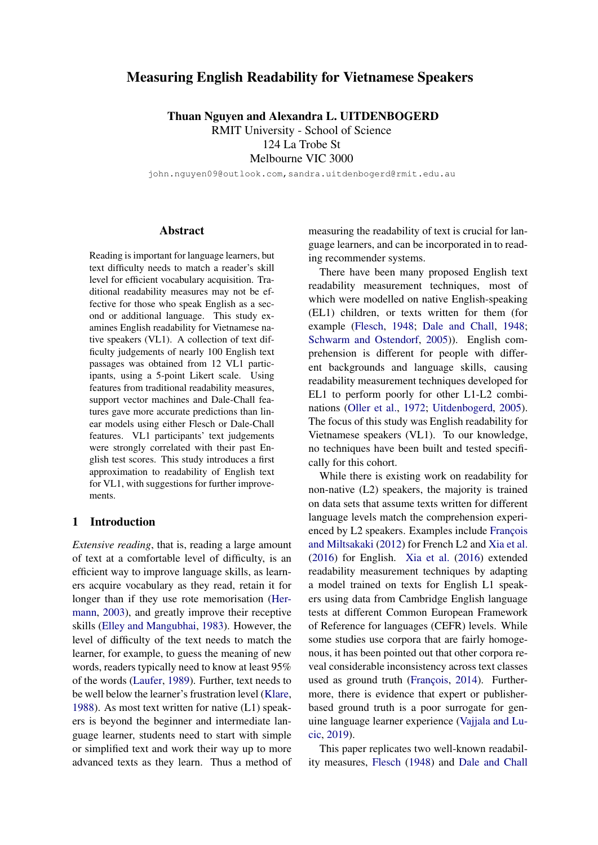# Measuring English Readability for Vietnamese Speakers

Thuan Nguyen and Alexandra L. UITDENBOGERD RMIT University - School of Science 124 La Trobe St

Melbourne VIC 3000

john.nguyen09@outlook.com,sandra.uitdenbogerd@rmit.edu.au

### Abstract

Reading is important for language learners, but text difficulty needs to match a reader's skill level for efficient vocabulary acquisition. Traditional readability measures may not be effective for those who speak English as a second or additional language. This study examines English readability for Vietnamese native speakers (VL1). A collection of text difficulty judgements of nearly 100 English text passages was obtained from 12 VL1 participants, using a 5-point Likert scale. Using features from traditional readability measures, support vector machines and Dale-Chall features gave more accurate predictions than linear models using either Flesch or Dale-Chall features. VL1 participants' text judgements were strongly correlated with their past English test scores. This study introduces a first approximation to readability of English text for VL1, with suggestions for further improvements.

## 1 Introduction

*Extensive reading*, that is, reading a large amount of text at a comfortable level of difficulty, is an efficient way to improve language skills, as learners acquire vocabulary as they read, retain it for longer than if they use rote memorisation [\(Her](#page-9-0)[mann,](#page-9-0) [2003\)](#page-9-0), and greatly improve their receptive skills [\(Elley and Mangubhai,](#page-9-1) [1983\)](#page-9-1). However, the level of difficulty of the text needs to match the learner, for example, to guess the meaning of new words, readers typically need to know at least 95% of the words [\(Laufer,](#page-9-2) [1989\)](#page-9-2). Further, text needs to be well below the learner's frustration level [\(Klare,](#page-9-3) [1988\)](#page-9-3). As most text written for native (L1) speakers is beyond the beginner and intermediate language learner, students need to start with simple or simplified text and work their way up to more advanced texts as they learn. Thus a method of

measuring the readability of text is crucial for language learners, and can be incorporated in to reading recommender systems.

There have been many proposed English text readability measurement techniques, most of which were modelled on native English-speaking (EL1) children, or texts written for them (for example [\(Flesch,](#page-9-4) [1948;](#page-9-4) [Dale and Chall,](#page-9-5) [1948;](#page-9-5) [Schwarm and Ostendorf,](#page-9-6) [2005\)](#page-9-6)). English comprehension is different for people with different backgrounds and language skills, causing readability measurement techniques developed for EL1 to perform poorly for other L1-L2 combinations [\(Oller et al.,](#page-9-7) [1972;](#page-9-7) [Uitdenbogerd,](#page-9-8) [2005\)](#page-9-8). The focus of this study was English readability for Vietnamese speakers (VL1). To our knowledge, no techniques have been built and tested specifically for this cohort.

While there is existing work on readability for non-native (L2) speakers, the majority is trained on data sets that assume texts written for different language levels match the comprehension experienced by L2 speakers. Examples include François [and Miltsakaki](#page-9-9) [\(2012\)](#page-9-9) for French L2 and [Xia et al.](#page-9-10) [\(2016\)](#page-9-10) for English. [Xia et al.](#page-9-10) [\(2016\)](#page-9-10) extended readability measurement techniques by adapting a model trained on texts for English L1 speakers using data from Cambridge English language tests at different Common European Framework of Reference for languages (CEFR) levels. While some studies use corpora that are fairly homogenous, it has been pointed out that other corpora reveal considerable inconsistency across text classes used as ground truth (François, [2014\)](#page-9-11). Furthermore, there is evidence that expert or publisherbased ground truth is a poor surrogate for genuine language learner experience [\(Vajjala and Lu](#page-9-12)[cic,](#page-9-12) [2019\)](#page-9-12).

This paper replicates two well-known readability measures, [Flesch](#page-9-4) [\(1948\)](#page-9-4) and [Dale and Chall](#page-9-5)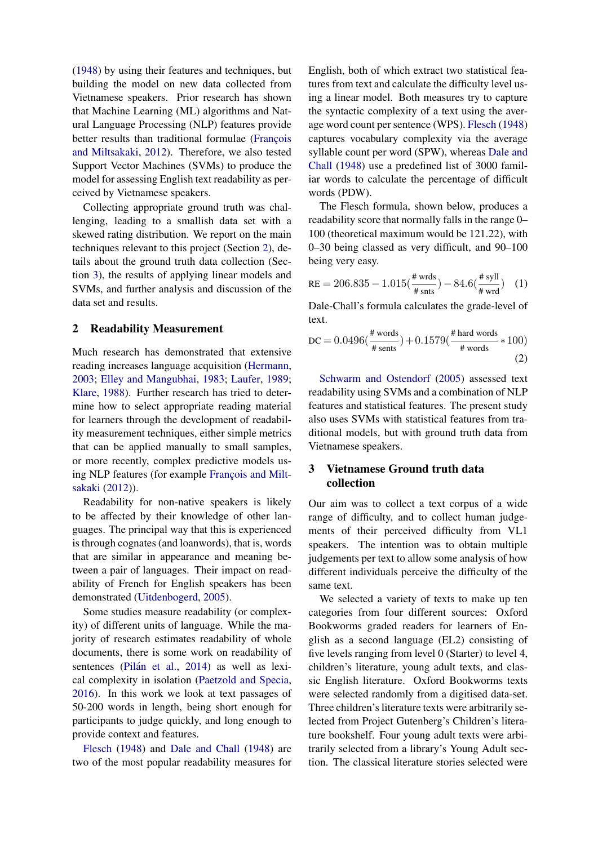[\(1948\)](#page-9-5) by using their features and techniques, but building the model on new data collected from Vietnamese speakers. Prior research has shown that Machine Learning (ML) algorithms and Natural Language Processing (NLP) features provide better results than traditional formulae (François [and Miltsakaki,](#page-9-9) [2012\)](#page-9-9). Therefore, we also tested Support Vector Machines (SVMs) to produce the model for assessing English text readability as perceived by Vietnamese speakers.

Collecting appropriate ground truth was challenging, leading to a smallish data set with a skewed rating distribution. We report on the main techniques relevant to this project (Section [2\)](#page-1-0), details about the ground truth data collection (Section [3\)](#page-1-1), the results of applying linear models and SVMs, and further analysis and discussion of the data set and results.

### <span id="page-1-0"></span>2 Readability Measurement

Much research has demonstrated that extensive reading increases language acquisition [\(Hermann,](#page-9-0) [2003;](#page-9-0) [Elley and Mangubhai,](#page-9-1) [1983;](#page-9-1) [Laufer,](#page-9-2) [1989;](#page-9-2) [Klare,](#page-9-3) [1988\)](#page-9-3). Further research has tried to determine how to select appropriate reading material for learners through the development of readability measurement techniques, either simple metrics that can be applied manually to small samples, or more recently, complex predictive models using NLP features (for example François and Milt[sakaki](#page-9-9) [\(2012\)](#page-9-9)).

Readability for non-native speakers is likely to be affected by their knowledge of other languages. The principal way that this is experienced is through cognates (and loanwords), that is, words that are similar in appearance and meaning between a pair of languages. Their impact on readability of French for English speakers has been demonstrated [\(Uitdenbogerd,](#page-9-8) [2005\)](#page-9-8).

Some studies measure readability (or complexity) of different units of language. While the majority of research estimates readability of whole documents, there is some work on readability of sentences (Pilán et al., [2014\)](#page-9-13) as well as lexical complexity in isolation [\(Paetzold and Specia,](#page-9-14) [2016\)](#page-9-14). In this work we look at text passages of 50-200 words in length, being short enough for participants to judge quickly, and long enough to provide context and features.

[Flesch](#page-9-4) [\(1948\)](#page-9-4) and [Dale and Chall](#page-9-5) [\(1948\)](#page-9-5) are two of the most popular readability measures for

English, both of which extract two statistical features from text and calculate the difficulty level using a linear model. Both measures try to capture the syntactic complexity of a text using the average word count per sentence (WPS). [Flesch](#page-9-4) [\(1948\)](#page-9-4) captures vocabulary complexity via the average syllable count per word (SPW), whereas [Dale and](#page-9-5) [Chall](#page-9-5) [\(1948\)](#page-9-5) use a predefined list of 3000 familiar words to calculate the percentage of difficult words (PDW).

The Flesch formula, shown below, produces a readability score that normally falls in the range 0– 100 (theoretical maximum would be 121.22), with 0–30 being classed as very difficult, and 90–100 being very easy.

RE = 
$$
206.835 - 1.015(\frac{\text{# wds}}{\text{# snts}}) - 84.6(\frac{\text{# syll}}{\text{# wrd}})
$$
 (1)

Dale-Chall's formula calculates the grade-level of text.

$$
\text{DC} = 0.0496 \left(\frac{\text{\# words}}{\text{\# sents}}\right) + 0.1579 \left(\frac{\text{\# hard words}}{\text{\# words}} * 100\right)
$$
\n
$$
\tag{2}
$$

[Schwarm and Ostendorf](#page-9-6) [\(2005\)](#page-9-6) assessed text readability using SVMs and a combination of NLP features and statistical features. The present study also uses SVMs with statistical features from traditional models, but with ground truth data from Vietnamese speakers.

# <span id="page-1-1"></span>3 Vietnamese Ground truth data collection

Our aim was to collect a text corpus of a wide range of difficulty, and to collect human judgements of their perceived difficulty from VL1 speakers. The intention was to obtain multiple judgements per text to allow some analysis of how different individuals perceive the difficulty of the same text.

We selected a variety of texts to make up ten categories from four different sources: Oxford Bookworms graded readers for learners of English as a second language (EL2) consisting of five levels ranging from level 0 (Starter) to level 4, children's literature, young adult texts, and classic English literature. Oxford Bookworms texts were selected randomly from a digitised data-set. Three children's literature texts were arbitrarily selected from Project Gutenberg's Children's literature bookshelf. Four young adult texts were arbitrarily selected from a library's Young Adult section. The classical literature stories selected were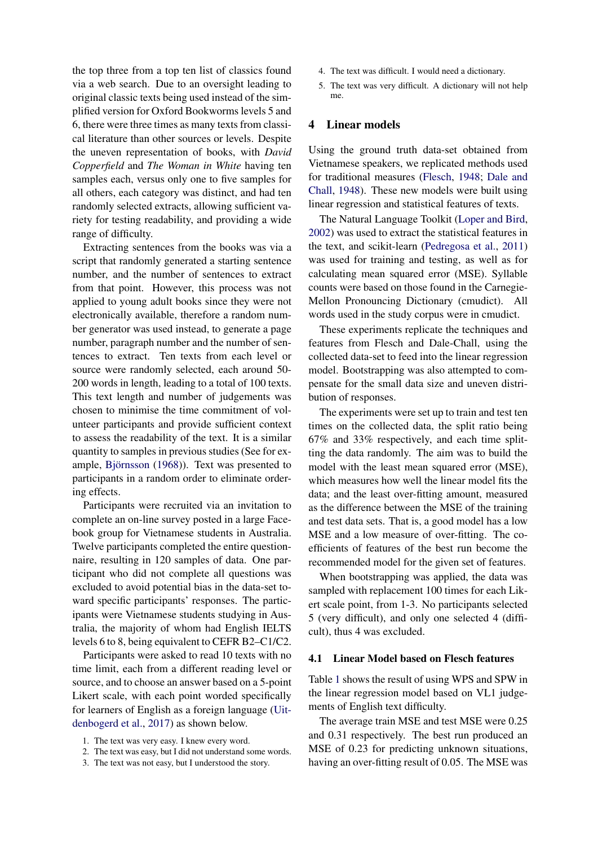the top three from a top ten list of classics found via a web search. Due to an oversight leading to original classic texts being used instead of the simplified version for Oxford Bookworms levels 5 and 6, there were three times as many texts from classical literature than other sources or levels. Despite the uneven representation of books, with *David Copperfield* and *The Woman in White* having ten samples each, versus only one to five samples for all others, each category was distinct, and had ten randomly selected extracts, allowing sufficient variety for testing readability, and providing a wide range of difficulty.

Extracting sentences from the books was via a script that randomly generated a starting sentence number, and the number of sentences to extract from that point. However, this process was not applied to young adult books since they were not electronically available, therefore a random number generator was used instead, to generate a page number, paragraph number and the number of sentences to extract. Ten texts from each level or source were randomly selected, each around 50- 200 words in length, leading to a total of 100 texts. This text length and number of judgements was chosen to minimise the time commitment of volunteer participants and provide sufficient context to assess the readability of the text. It is a similar quantity to samples in previous studies (See for ex-ample, Björnsson [\(1968\)](#page-8-0)). Text was presented to participants in a random order to eliminate ordering effects.

Participants were recruited via an invitation to complete an on-line survey posted in a large Facebook group for Vietnamese students in Australia. Twelve participants completed the entire questionnaire, resulting in 120 samples of data. One participant who did not complete all questions was excluded to avoid potential bias in the data-set toward specific participants' responses. The participants were Vietnamese students studying in Australia, the majority of whom had English IELTS levels 6 to 8, being equivalent to CEFR B2–C1/C2.

Participants were asked to read 10 texts with no time limit, each from a different reading level or source, and to choose an answer based on a 5-point Likert scale, with each point worded specifically for learners of English as a foreign language [\(Uit](#page-9-15)[denbogerd et al.,](#page-9-15) [2017\)](#page-9-15) as shown below.

- 1. The text was very easy. I knew every word.
- 2. The text was easy, but I did not understand some words.
- 3. The text was not easy, but I understood the story.
- 4. The text was difficult. I would need a dictionary.
- 5. The text was very difficult. A dictionary will not help me.

### 4 Linear models

Using the ground truth data-set obtained from Vietnamese speakers, we replicated methods used for traditional measures [\(Flesch,](#page-9-4) [1948;](#page-9-4) [Dale and](#page-9-5) [Chall,](#page-9-5) [1948\)](#page-9-5). These new models were built using linear regression and statistical features of texts.

The Natural Language Toolkit [\(Loper and Bird,](#page-9-16) [2002\)](#page-9-16) was used to extract the statistical features in the text, and scikit-learn [\(Pedregosa et al.,](#page-9-17) [2011\)](#page-9-17) was used for training and testing, as well as for calculating mean squared error (MSE). Syllable counts were based on those found in the Carnegie-Mellon Pronouncing Dictionary (cmudict). All words used in the study corpus were in cmudict.

These experiments replicate the techniques and features from Flesch and Dale-Chall, using the collected data-set to feed into the linear regression model. Bootstrapping was also attempted to compensate for the small data size and uneven distribution of responses.

The experiments were set up to train and test ten times on the collected data, the split ratio being 67% and 33% respectively, and each time splitting the data randomly. The aim was to build the model with the least mean squared error (MSE), which measures how well the linear model fits the data; and the least over-fitting amount, measured as the difference between the MSE of the training and test data sets. That is, a good model has a low MSE and a low measure of over-fitting. The coefficients of features of the best run become the recommended model for the given set of features.

When bootstrapping was applied, the data was sampled with replacement 100 times for each Likert scale point, from 1-3. No participants selected 5 (very difficult), and only one selected 4 (difficult), thus 4 was excluded.

### 4.1 Linear Model based on Flesch features

Table [1](#page-3-0) shows the result of using WPS and SPW in the linear regression model based on VL1 judgements of English text difficulty.

The average train MSE and test MSE were 0.25 and 0.31 respectively. The best run produced an MSE of 0.23 for predicting unknown situations, having an over-fitting result of 0.05. The MSE was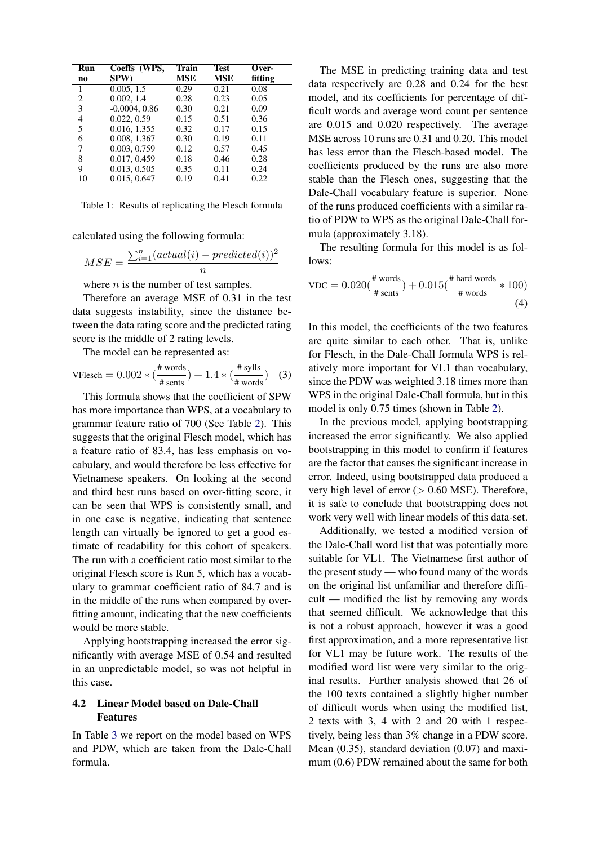<span id="page-3-0"></span>

| Run          | Coeffs (WPS,    | Train      | Test       | Over-   |
|--------------|-----------------|------------|------------|---------|
| no           | SPW)            | <b>MSE</b> | <b>MSE</b> | fitting |
| $\mathbf{1}$ | 0.005, 1.5      | 0.29       | 0.21       | 0.08    |
| 2            | 0.002, 1.4      | 0.28       | 0.23       | 0.05    |
| 3            | $-0.0004, 0.86$ | 0.30       | 0.21       | 0.09    |
| 4            | 0.022, 0.59     | 0.15       | 0.51       | 0.36    |
| 5            | 0.016, 1.355    | 0.32       | 0.17       | 0.15    |
| 6            | 0.008, 1.367    | 0.30       | 0.19       | 0.11    |
| 7            | 0.003, 0.759    | 0.12       | 0.57       | 0.45    |
| 8            | 0.017, 0.459    | 0.18       | 0.46       | 0.28    |
| 9            | 0.013, 0.505    | 0.35       | 0.11       | 0.24    |
| 10           | 0.015, 0.647    | 0.19       | 0.41       | 0.22    |

Table 1: Results of replicating the Flesch formula

calculated using the following formula:

$$
MSE = \frac{\sum_{i=1}^{n} (actual(i) - predicted(i))^{2}}{n}
$$

where  $n$  is the number of test samples.

Therefore an average MSE of 0.31 in the test data suggests instability, since the distance between the data rating score and the predicted rating score is the middle of 2 rating levels.

The model can be represented as:

$$
\text{VFlesch} = 0.002 * \left(\frac{\text{\# words}}{\text{\# sents}}\right) + 1.4 * \left(\frac{\text{\# sylls}}{\text{\# words}}\right) \tag{3}
$$

This formula shows that the coefficient of SPW has more importance than WPS, at a vocabulary to grammar feature ratio of 700 (See Table [2\)](#page-4-0). This suggests that the original Flesch model, which has a feature ratio of 83.4, has less emphasis on vocabulary, and would therefore be less effective for Vietnamese speakers. On looking at the second and third best runs based on over-fitting score, it can be seen that WPS is consistently small, and in one case is negative, indicating that sentence length can virtually be ignored to get a good estimate of readability for this cohort of speakers. The run with a coefficient ratio most similar to the original Flesch score is Run 5, which has a vocabulary to grammar coefficient ratio of 84.7 and is in the middle of the runs when compared by overfitting amount, indicating that the new coefficients would be more stable.

Applying bootstrapping increased the error significantly with average MSE of 0.54 and resulted in an unpredictable model, so was not helpful in this case.

### 4.2 Linear Model based on Dale-Chall Features

In Table [3](#page-4-1) we report on the model based on WPS and PDW, which are taken from the Dale-Chall formula.

The MSE in predicting training data and test data respectively are 0.28 and 0.24 for the best model, and its coefficients for percentage of difficult words and average word count per sentence are 0.015 and 0.020 respectively. The average MSE across 10 runs are 0.31 and 0.20. This model has less error than the Flesch-based model. The coefficients produced by the runs are also more stable than the Flesch ones, suggesting that the Dale-Chall vocabulary feature is superior. None of the runs produced coefficients with a similar ratio of PDW to WPS as the original Dale-Chall formula (approximately 3.18).

The resulting formula for this model is as follows:

$$
\text{VDC} = 0.020 \left( \frac{\text{\# words}}{\text{\# sents}} \right) + 0.015 \left( \frac{\text{\# hard words}}{\text{\# words}} \times 100 \right) \tag{4}
$$

In this model, the coefficients of the two features are quite similar to each other. That is, unlike for Flesch, in the Dale-Chall formula WPS is relatively more important for VL1 than vocabulary, since the PDW was weighted 3.18 times more than WPS in the original Dale-Chall formula, but in this model is only 0.75 times (shown in Table [2\)](#page-4-0).

In the previous model, applying bootstrapping increased the error significantly. We also applied bootstrapping in this model to confirm if features are the factor that causes the significant increase in error. Indeed, using bootstrapped data produced a very high level of error  $(> 0.60$  MSE). Therefore, it is safe to conclude that bootstrapping does not work very well with linear models of this data-set.

Additionally, we tested a modified version of the Dale-Chall word list that was potentially more suitable for VL1. The Vietnamese first author of the present study — who found many of the words on the original list unfamiliar and therefore difficult — modified the list by removing any words that seemed difficult. We acknowledge that this is not a robust approach, however it was a good first approximation, and a more representative list for VL1 may be future work. The results of the modified word list were very similar to the original results. Further analysis showed that 26 of the 100 texts contained a slightly higher number of difficult words when using the modified list, 2 texts with 3, 4 with 2 and 20 with 1 respectively, being less than 3% change in a PDW score. Mean (0.35), standard deviation (0.07) and maximum (0.6) PDW remained about the same for both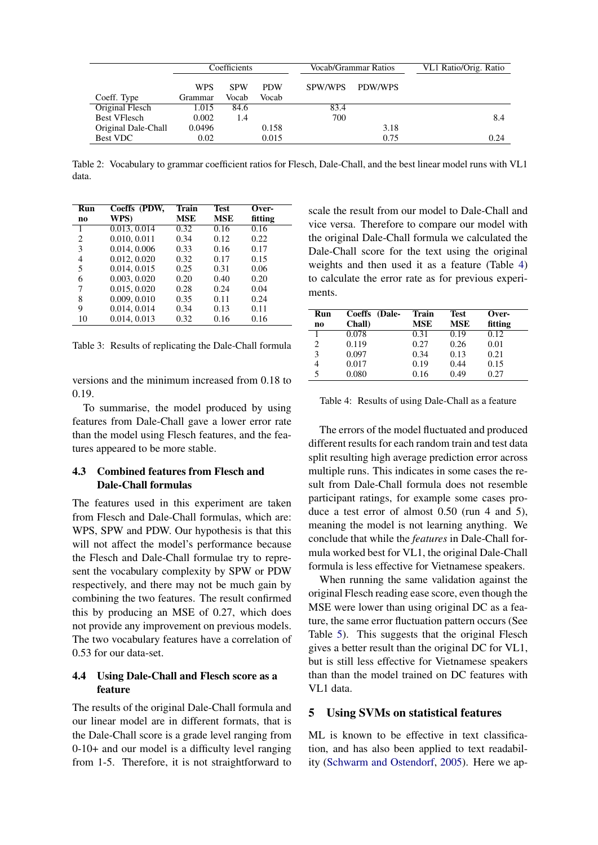<span id="page-4-0"></span>

|                     | Coefficients |            | Vocab/Grammar Ratios |         | VL1 Ratio/Orig. Ratio |      |
|---------------------|--------------|------------|----------------------|---------|-----------------------|------|
|                     | <b>WPS</b>   | <b>SPW</b> | <b>PDW</b>           | SPW/WPS | PDW/WPS               |      |
| Coeff. Type         | Grammar      | Vocab      | Vocab                |         |                       |      |
| Original Flesch     | 1.015        | 84.6       |                      | 83.4    |                       |      |
| <b>Best VFlesch</b> | 0.002        | 1.4        |                      | 700     |                       | 8.4  |
| Original Dale-Chall | 0.0496       |            | 0.158                |         | 3.18                  |      |
| <b>Best VDC</b>     | 0.02         |            | 0.015                |         | 0.75                  | 0.24 |

Table 2: Vocabulary to grammar coefficient ratios for Flesch, Dale-Chall, and the best linear model runs with VL1 data.

<span id="page-4-1"></span>

| Run            | Coeffs (PDW, | Train      | <b>Test</b> | Over-   |
|----------------|--------------|------------|-------------|---------|
| n <sub>0</sub> | WPS)         | <b>MSE</b> | <b>MSE</b>  | fitting |
| 1              | 0.013, 0.014 | 0.32       | 0.16        | 0.16    |
| 2              | 0.010, 0.011 | 0.34       | 0.12        | 0.22    |
| 3              | 0.014, 0.006 | 0.33       | 0.16        | 0.17    |
| 4              | 0.012, 0.020 | 0.32       | 0.17        | 0.15    |
| 5              | 0.014, 0.015 | 0.25       | 0.31        | 0.06    |
| 6              | 0.003, 0.020 | 0.20       | 0.40        | 0.20    |
| 7              | 0.015, 0.020 | 0.28       | 0.24        | 0.04    |
| 8              | 0.009, 0.010 | 0.35       | 0.11        | 0.24    |
| 9              | 0.014, 0.014 | 0.34       | 0.13        | 0.11    |
| 10             | 0.014, 0.013 | 0.32       | 0.16        | 0.16    |

Table 3: Results of replicating the Dale-Chall formula

versions and the minimum increased from 0.18 to 0.19.

To summarise, the model produced by using features from Dale-Chall gave a lower error rate than the model using Flesch features, and the features appeared to be more stable.

# 4.3 Combined features from Flesch and Dale-Chall formulas

The features used in this experiment are taken from Flesch and Dale-Chall formulas, which are: WPS, SPW and PDW. Our hypothesis is that this will not affect the model's performance because the Flesch and Dale-Chall formulae try to represent the vocabulary complexity by SPW or PDW respectively, and there may not be much gain by combining the two features. The result confirmed this by producing an MSE of 0.27, which does not provide any improvement on previous models. The two vocabulary features have a correlation of 0.53 for our data-set.

# 4.4 Using Dale-Chall and Flesch score as a feature

The results of the original Dale-Chall formula and our linear model are in different formats, that is the Dale-Chall score is a grade level ranging from 0-10+ and our model is a difficulty level ranging from 1-5. Therefore, it is not straightforward to scale the result from our model to Dale-Chall and vice versa. Therefore to compare our model with the original Dale-Chall formula we calculated the Dale-Chall score for the text using the original weights and then used it as a feature (Table [4\)](#page-4-2) to calculate the error rate as for previous experiments.

<span id="page-4-2"></span>

| Run            | Coeffs (Dale- | Train | Test       | Over-   |
|----------------|---------------|-------|------------|---------|
| n <sub>0</sub> | Chall)        | MSE   | <b>MSE</b> | fitting |
|                | 0.078         | 0.31  | 0.19       | 0.12    |
| 2              | 0.119         | 0.27  | 0.26       | 0.01    |
| 3              | 0.097         | 0.34  | 0.13       | 0.21    |
| 4              | 0.017         | 0.19  | 0.44       | 0.15    |
| 5              | 0.080         | 0.16  | 0.49       | 0.27    |

Table 4: Results of using Dale-Chall as a feature

The errors of the model fluctuated and produced different results for each random train and test data split resulting high average prediction error across multiple runs. This indicates in some cases the result from Dale-Chall formula does not resemble participant ratings, for example some cases produce a test error of almost 0.50 (run 4 and 5), meaning the model is not learning anything. We conclude that while the *features* in Dale-Chall formula worked best for VL1, the original Dale-Chall formula is less effective for Vietnamese speakers.

When running the same validation against the original Flesch reading ease score, even though the MSE were lower than using original DC as a feature, the same error fluctuation pattern occurs (See Table [5\)](#page-5-0). This suggests that the original Flesch gives a better result than the original DC for VL1, but is still less effective for Vietnamese speakers than than the model trained on DC features with VL1 data.

# 5 Using SVMs on statistical features

ML is known to be effective in text classification, and has also been applied to text readability [\(Schwarm and Ostendorf,](#page-9-6) [2005\)](#page-9-6). Here we ap-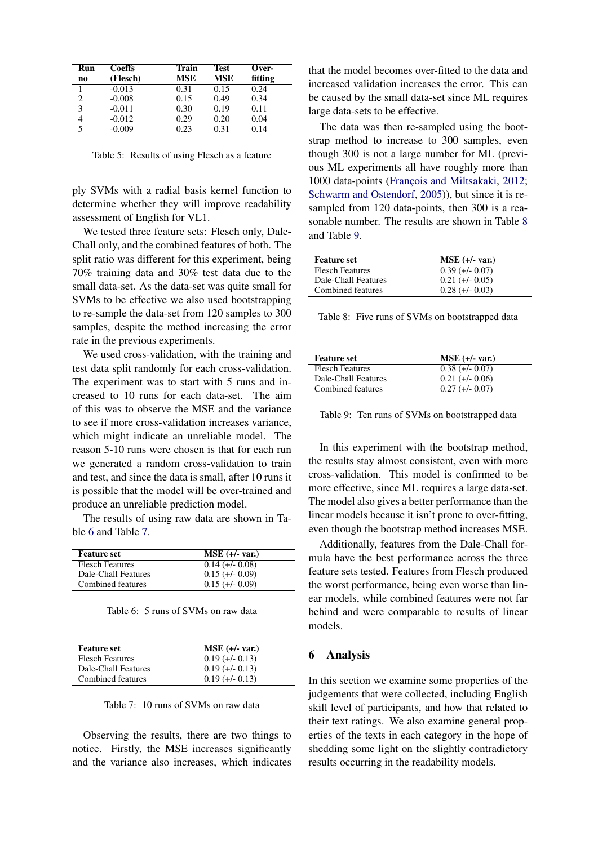<span id="page-5-0"></span>

| Run                           | <b>Coeffs</b> | Train      | <b>Test</b> | Over-   |
|-------------------------------|---------------|------------|-------------|---------|
| n0                            | (Flesch)      | <b>MSE</b> | <b>MSE</b>  | fitting |
| 1                             | $-0.013$      | 0.31       | 0.15        | 0.24    |
| $\mathfrak{D}_{\mathfrak{p}}$ | $-0.008$      | 0.15       | 0.49        | 0.34    |
| 3                             | $-0.011$      | 0.30       | 0.19        | 0.11    |
|                               | $-0.012$      | 0.29       | 0.20        | 0.04    |
| 5                             | $-0.009$      | 0.23       | 0.31        | 0.14    |

Table 5: Results of using Flesch as a feature

ply SVMs with a radial basis kernel function to determine whether they will improve readability assessment of English for VL1.

We tested three feature sets: Flesch only, Dale-Chall only, and the combined features of both. The split ratio was different for this experiment, being 70% training data and 30% test data due to the small data-set. As the data-set was quite small for SVMs to be effective we also used bootstrapping to re-sample the data-set from 120 samples to 300 samples, despite the method increasing the error rate in the previous experiments.

We used cross-validation, with the training and test data split randomly for each cross-validation. The experiment was to start with 5 runs and increased to 10 runs for each data-set. The aim of this was to observe the MSE and the variance to see if more cross-validation increases variance, which might indicate an unreliable model. The reason 5-10 runs were chosen is that for each run we generated a random cross-validation to train and test, and since the data is small, after 10 runs it is possible that the model will be over-trained and produce an unreliable prediction model.

The results of using raw data are shown in Table [6](#page-5-1) and Table [7.](#page-5-2)

<span id="page-5-1"></span>

| <b>Feature set</b>     | $MSE$ (+/- var.)  |
|------------------------|-------------------|
| <b>Flesch Features</b> | $0.14 (+/- 0.08)$ |
| Dale-Chall Features    | $0.15 (+/- 0.09)$ |
| Combined features      | $0.15 (+/- 0.09)$ |

Table 6: 5 runs of SVMs on raw data

<span id="page-5-2"></span>

| <b>Feature set</b>     | $MSE$ (+/- var.)  |
|------------------------|-------------------|
| <b>Flesch Features</b> | $0.19 (+/- 0.13)$ |
| Dale-Chall Features    | $0.19 (+/- 0.13)$ |
| Combined features      | $0.19 (+/- 0.13)$ |

Table 7: 10 runs of SVMs on raw data

Observing the results, there are two things to notice. Firstly, the MSE increases significantly and the variance also increases, which indicates that the model becomes over-fitted to the data and increased validation increases the error. This can be caused by the small data-set since ML requires large data-sets to be effective.

The data was then re-sampled using the bootstrap method to increase to 300 samples, even though 300 is not a large number for ML (previous ML experiments all have roughly more than 1000 data-points (François and Miltsakaki, [2012;](#page-9-9) [Schwarm and Ostendorf,](#page-9-6) [2005\)](#page-9-6)), but since it is resampled from 120 data-points, then 300 is a reasonable number. The results are shown in Table [8](#page-5-3) and Table [9.](#page-5-4)

<span id="page-5-3"></span>

| <b>Feature set</b>     | $MSE$ (+/- var.)  |
|------------------------|-------------------|
| <b>Flesch Features</b> | $0.39$ (+/- 0.07) |
| Dale-Chall Features    | $0.21 (+/- 0.05)$ |
| Combined features      | $0.28 (+/- 0.03)$ |

Table 8: Five runs of SVMs on bootstrapped data

<span id="page-5-4"></span>

| <b>Feature set</b>     | $MSE$ (+/- var.)  |
|------------------------|-------------------|
| <b>Flesch Features</b> | $0.38$ (+/- 0.07) |
| Dale-Chall Features    | $0.21 (+/- 0.06)$ |
| Combined features      | $0.27$ (+/- 0.07) |

Table 9: Ten runs of SVMs on bootstrapped data

In this experiment with the bootstrap method, the results stay almost consistent, even with more cross-validation. This model is confirmed to be more effective, since ML requires a large data-set. The model also gives a better performance than the linear models because it isn't prone to over-fitting, even though the bootstrap method increases MSE.

Additionally, features from the Dale-Chall formula have the best performance across the three feature sets tested. Features from Flesch produced the worst performance, being even worse than linear models, while combined features were not far behind and were comparable to results of linear models.

### 6 Analysis

In this section we examine some properties of the judgements that were collected, including English skill level of participants, and how that related to their text ratings. We also examine general properties of the texts in each category in the hope of shedding some light on the slightly contradictory results occurring in the readability models.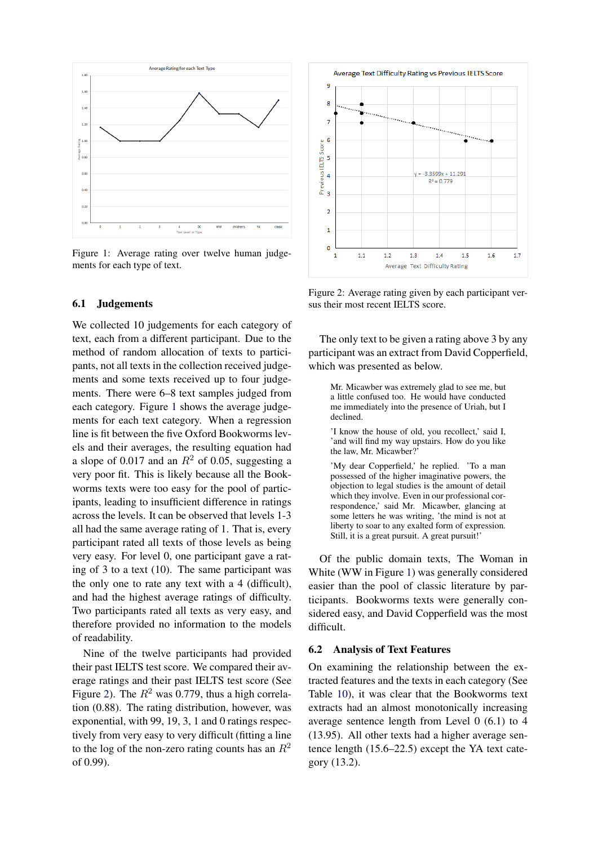<span id="page-6-0"></span>

Figure 1: Average rating over twelve human judgements for each type of text.

### 6.1 Judgements

We collected 10 judgements for each category of text, each from a different participant. Due to the method of random allocation of texts to participants, not all texts in the collection received judgements and some texts received up to four judgements. There were 6–8 text samples judged from each category. Figure [1](#page-6-0) shows the average judgements for each text category. When a regression line is fit between the five Oxford Bookworms levels and their averages, the resulting equation had a slope of 0.017 and an  $R^2$  of 0.05, suggesting a very poor fit. This is likely because all the Bookworms texts were too easy for the pool of participants, leading to insufficient difference in ratings across the levels. It can be observed that levels 1-3 all had the same average rating of 1. That is, every participant rated all texts of those levels as being very easy. For level 0, one participant gave a rating of 3 to a text (10). The same participant was the only one to rate any text with a 4 (difficult), and had the highest average ratings of difficulty. Two participants rated all texts as very easy, and therefore provided no information to the models of readability.

Nine of the twelve participants had provided their past IELTS test score. We compared their average ratings and their past IELTS test score (See Figure [2\)](#page-6-1). The  $R^2$  was 0.779, thus a high correlation (0.88). The rating distribution, however, was exponential, with 99, 19, 3, 1 and 0 ratings respectively from very easy to very difficult (fitting a line to the log of the non-zero rating counts has an  $R^2$ of 0.99).

<span id="page-6-1"></span>

Figure 2: Average rating given by each participant versus their most recent IELTS score.

The only text to be given a rating above 3 by any participant was an extract from David Copperfield, which was presented as below.

Mr. Micawber was extremely glad to see me, but a little confused too. He would have conducted me immediately into the presence of Uriah, but I declined.

'I know the house of old, you recollect,' said I, 'and will find my way upstairs. How do you like the law, Mr. Micawber?'

'My dear Copperfield,' he replied. 'To a man possessed of the higher imaginative powers, the objection to legal studies is the amount of detail which they involve. Even in our professional correspondence,' said Mr. Micawber, glancing at some letters he was writing, 'the mind is not at liberty to soar to any exalted form of expression. Still, it is a great pursuit. A great pursuit!'

Of the public domain texts, The Woman in White (WW in Figure [1\)](#page-6-0) was generally considered easier than the pool of classic literature by participants. Bookworms texts were generally considered easy, and David Copperfield was the most difficult.

#### 6.2 Analysis of Text Features

On examining the relationship between the extracted features and the texts in each category (See Table [10\)](#page-7-0), it was clear that the Bookworms text extracts had an almost monotonically increasing average sentence length from Level 0 (6.1) to 4 (13.95). All other texts had a higher average sentence length (15.6–22.5) except the YA text category (13.2).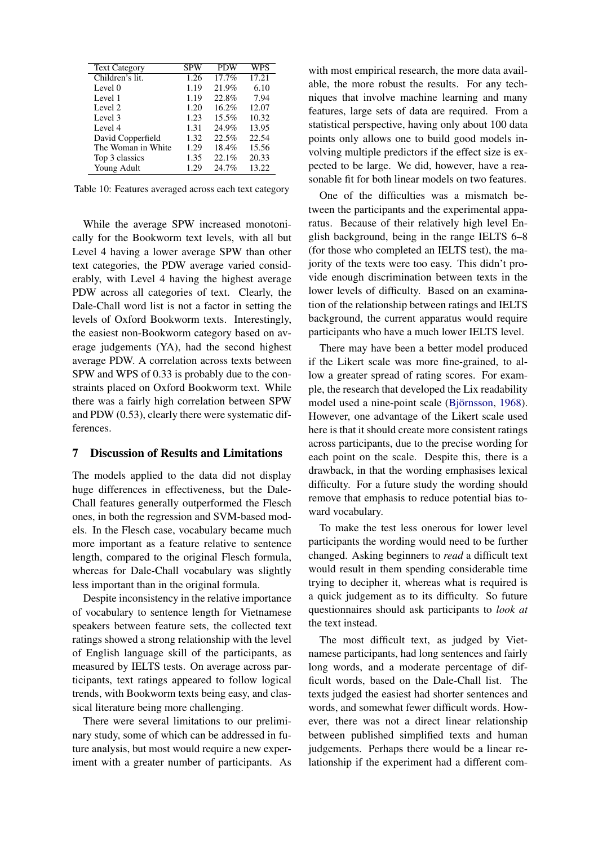<span id="page-7-0"></span>

| <b>Text Category</b> | <b>SPW</b> | <b>PDW</b> | WPS   |
|----------------------|------------|------------|-------|
| Children's lit.      | 1.26       | 17.7%      | 17.21 |
| Level 0              | 1.19       | 21.9%      | 6.10  |
| Level 1              | 1.19       | 22.8%      | 7.94  |
| Level 2              | 1.20       | 16.2%      | 12.07 |
| Level 3              | 1.23       | 15.5%      | 10.32 |
| Level 4              | 1.31       | 24.9%      | 13.95 |
| David Copperfield    | 1.32       | 22.5%      | 22.54 |
| The Woman in White   | 1.29       | 18.4%      | 15.56 |
| Top 3 classics       | 1.35       | 22.1%      | 20.33 |
| Young Adult          | 1.29       | 24.7%      | 13.22 |

Table 10: Features averaged across each text category

While the average SPW increased monotonically for the Bookworm text levels, with all but Level 4 having a lower average SPW than other text categories, the PDW average varied considerably, with Level 4 having the highest average PDW across all categories of text. Clearly, the Dale-Chall word list is not a factor in setting the levels of Oxford Bookworm texts. Interestingly, the easiest non-Bookworm category based on average judgements (YA), had the second highest average PDW. A correlation across texts between SPW and WPS of 0.33 is probably due to the constraints placed on Oxford Bookworm text. While there was a fairly high correlation between SPW and PDW (0.53), clearly there were systematic differences.

### 7 Discussion of Results and Limitations

The models applied to the data did not display huge differences in effectiveness, but the Dale-Chall features generally outperformed the Flesch ones, in both the regression and SVM-based models. In the Flesch case, vocabulary became much more important as a feature relative to sentence length, compared to the original Flesch formula, whereas for Dale-Chall vocabulary was slightly less important than in the original formula.

Despite inconsistency in the relative importance of vocabulary to sentence length for Vietnamese speakers between feature sets, the collected text ratings showed a strong relationship with the level of English language skill of the participants, as measured by IELTS tests. On average across participants, text ratings appeared to follow logical trends, with Bookworm texts being easy, and classical literature being more challenging.

There were several limitations to our preliminary study, some of which can be addressed in future analysis, but most would require a new experiment with a greater number of participants. As

with most empirical research, the more data available, the more robust the results. For any techniques that involve machine learning and many features, large sets of data are required. From a statistical perspective, having only about 100 data points only allows one to build good models involving multiple predictors if the effect size is expected to be large. We did, however, have a reasonable fit for both linear models on two features.

One of the difficulties was a mismatch between the participants and the experimental apparatus. Because of their relatively high level English background, being in the range IELTS 6–8 (for those who completed an IELTS test), the majority of the texts were too easy. This didn't provide enough discrimination between texts in the lower levels of difficulty. Based on an examination of the relationship between ratings and IELTS background, the current apparatus would require participants who have a much lower IELTS level.

There may have been a better model produced if the Likert scale was more fine-grained, to allow a greater spread of rating scores. For example, the research that developed the Lix readability model used a nine-point scale (Björnsson, [1968\)](#page-8-0). However, one advantage of the Likert scale used here is that it should create more consistent ratings across participants, due to the precise wording for each point on the scale. Despite this, there is a drawback, in that the wording emphasises lexical difficulty. For a future study the wording should remove that emphasis to reduce potential bias toward vocabulary.

To make the test less onerous for lower level participants the wording would need to be further changed. Asking beginners to *read* a difficult text would result in them spending considerable time trying to decipher it, whereas what is required is a quick judgement as to its difficulty. So future questionnaires should ask participants to *look at* the text instead.

The most difficult text, as judged by Vietnamese participants, had long sentences and fairly long words, and a moderate percentage of difficult words, based on the Dale-Chall list. The texts judged the easiest had shorter sentences and words, and somewhat fewer difficult words. However, there was not a direct linear relationship between published simplified texts and human judgements. Perhaps there would be a linear relationship if the experiment had a different com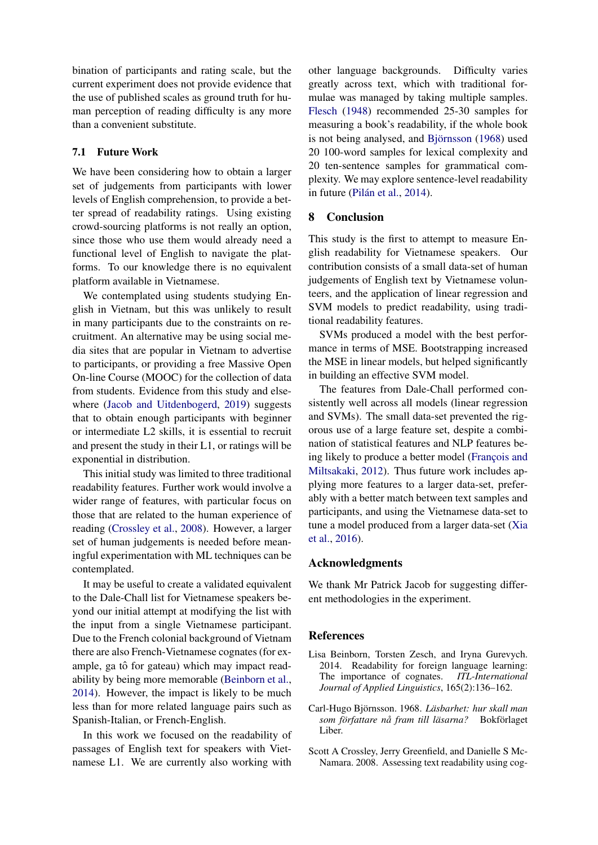bination of participants and rating scale, but the current experiment does not provide evidence that the use of published scales as ground truth for human perception of reading difficulty is any more than a convenient substitute.

### 7.1 Future Work

We have been considering how to obtain a larger set of judgements from participants with lower levels of English comprehension, to provide a better spread of readability ratings. Using existing crowd-sourcing platforms is not really an option, since those who use them would already need a functional level of English to navigate the platforms. To our knowledge there is no equivalent platform available in Vietnamese.

We contemplated using students studying English in Vietnam, but this was unlikely to result in many participants due to the constraints on recruitment. An alternative may be using social media sites that are popular in Vietnam to advertise to participants, or providing a free Massive Open On-line Course (MOOC) for the collection of data from students. Evidence from this study and elsewhere [\(Jacob and Uitdenbogerd,](#page-9-18) [2019\)](#page-9-18) suggests that to obtain enough participants with beginner or intermediate L2 skills, it is essential to recruit and present the study in their L1, or ratings will be exponential in distribution.

This initial study was limited to three traditional readability features. Further work would involve a wider range of features, with particular focus on those that are related to the human experience of reading [\(Crossley et al.,](#page-8-1) [2008\)](#page-8-1). However, a larger set of human judgements is needed before meaningful experimentation with ML techniques can be contemplated.

It may be useful to create a validated equivalent to the Dale-Chall list for Vietnamese speakers beyond our initial attempt at modifying the list with the input from a single Vietnamese participant. Due to the French colonial background of Vietnam there are also French-Vietnamese cognates (for example, ga tô for gateau) which may impact readability by being more memorable [\(Beinborn et al.,](#page-8-2) [2014\)](#page-8-2). However, the impact is likely to be much less than for more related language pairs such as Spanish-Italian, or French-English.

In this work we focused on the readability of passages of English text for speakers with Vietnamese L1. We are currently also working with

other language backgrounds. Difficulty varies greatly across text, which with traditional formulae was managed by taking multiple samples. [Flesch](#page-9-4) [\(1948\)](#page-9-4) recommended 25-30 samples for measuring a book's readability, if the whole book is not being analysed, and Björnsson [\(1968\)](#page-8-0) used 20 100-word samples for lexical complexity and 20 ten-sentence samples for grammatical complexity. We may explore sentence-level readability in future (Pilán et al., [2014\)](#page-9-13).

# 8 Conclusion

This study is the first to attempt to measure English readability for Vietnamese speakers. Our contribution consists of a small data-set of human judgements of English text by Vietnamese volunteers, and the application of linear regression and SVM models to predict readability, using traditional readability features.

SVMs produced a model with the best performance in terms of MSE. Bootstrapping increased the MSE in linear models, but helped significantly in building an effective SVM model.

The features from Dale-Chall performed consistently well across all models (linear regression and SVMs). The small data-set prevented the rigorous use of a large feature set, despite a combination of statistical features and NLP features being likely to produce a better model (François and [Miltsakaki,](#page-9-9) [2012\)](#page-9-9). Thus future work includes applying more features to a larger data-set, preferably with a better match between text samples and participants, and using the Vietnamese data-set to tune a model produced from a larger data-set [\(Xia](#page-9-10) [et al.,](#page-9-10) [2016\)](#page-9-10).

### Acknowledgments

We thank Mr Patrick Jacob for suggesting different methodologies in the experiment.

#### **References**

- <span id="page-8-2"></span>Lisa Beinborn, Torsten Zesch, and Iryna Gurevych. 2014. Readability for foreign language learning: The importance of cognates. *ITL-International Journal of Applied Linguistics*, 165(2):136–162.
- <span id="page-8-0"></span>Carl-Hugo Björnsson. 1968. Läsbarhet: hur skall man *som författare nå fram till läsarna?* Bokförlaget Liber.
- <span id="page-8-1"></span>Scott A Crossley, Jerry Greenfield, and Danielle S Mc-Namara. 2008. Assessing text readability using cog-